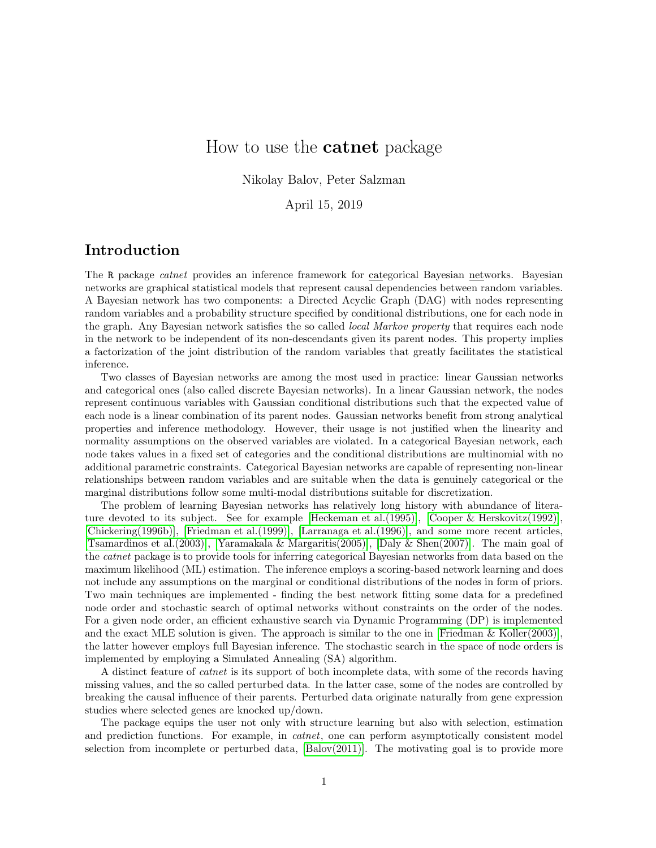# How to use the catnet package

Nikolay Balov, Peter Salzman

April 15, 2019

# Introduction

The R package *catnet* provides an inference framework for categorical Bayesian networks. Bayesian networks are graphical statistical models that represent causal dependencies between random variables. A Bayesian network has two components: a Directed Acyclic Graph (DAG) with nodes representing random variables and a probability structure specified by conditional distributions, one for each node in the graph. Any Bayesian network satisfies the so called *local Markov property* that requires each node in the network to be independent of its non-descendants given its parent nodes. This property implies a factorization of the joint distribution of the random variables that greatly facilitates the statistical inference.

Two classes of Bayesian networks are among the most used in practice: linear Gaussian networks and categorical ones (also called discrete Bayesian networks). In a linear Gaussian network, the nodes represent continuous variables with Gaussian conditional distributions such that the expected value of each node is a linear combination of its parent nodes. Gaussian networks benefit from strong analytical properties and inference methodology. However, their usage is not justified when the linearity and normality assumptions on the observed variables are violated. In a categorical Bayesian network, each node takes values in a fixed set of categories and the conditional distributions are multinomial with no additional parametric constraints. Categorical Bayesian networks are capable of representing non-linear relationships between random variables and are suitable when the data is genuinely categorical or the marginal distributions follow some multi-modal distributions suitable for discretization.

The problem of learning Bayesian networks has relatively long history with abundance of litera-ture devoted to its subject. See for example [\[Heckeman et al.\(1995\)\]](#page-18-0), [\[Cooper & Herskovitz\(1992\)\]](#page-18-1), [\[Chickering\(1996b\)\]](#page-18-2), [\[Friedman et al.\(1999\)\]](#page-18-3), [\[Larranaga et al.\(1996\)\]](#page-19-0), and some more recent articles, [\[Tsamardinos et al.\(2003\)\]](#page-19-1), [\[Yaramakala & Margaritis\(2005\)\]](#page-19-2), [\[Daly & Shen\(2007\)\]](#page-18-4). The main goal of the *catnet* package is to provide tools for inferring categorical Bayesian networks from data based on the maximum likelihood (ML) estimation. The inference employs a scoring-based network learning and does not include any assumptions on the marginal or conditional distributions of the nodes in form of priors. Two main techniques are implemented - finding the best network fitting some data for a predefined node order and stochastic search of optimal networks without constraints on the order of the nodes. For a given node order, an efficient exhaustive search via Dynamic Programming (DP) is implemented and the exact MLE solution is given. The approach is similar to the one in [\[Friedman & Koller\(2003\)\]](#page-18-5), the latter however employs full Bayesian inference. The stochastic search in the space of node orders is implemented by employing a Simulated Annealing (SA) algorithm.

A distinct feature of catnet is its support of both incomplete data, with some of the records having missing values, and the so called perturbed data. In the latter case, some of the nodes are controlled by breaking the causal influence of their parents. Perturbed data originate naturally from gene expression studies where selected genes are knocked up/down.

The package equips the user not only with structure learning but also with selection, estimation and prediction functions. For example, in *catnet*, one can perform asymptotically consistent model selection from incomplete or perturbed data,  $[Balov(2011)]$ . The motivating goal is to provide more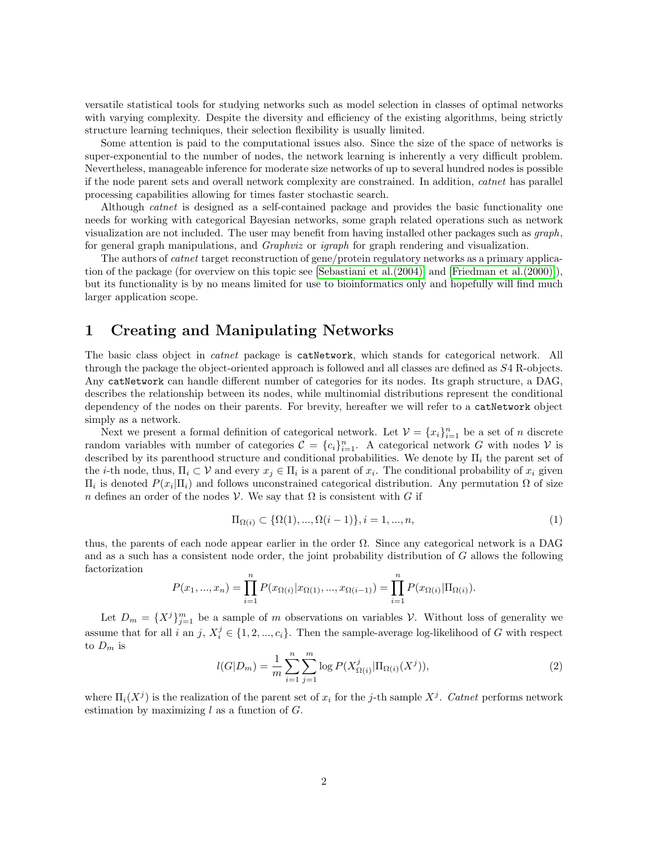versatile statistical tools for studying networks such as model selection in classes of optimal networks with varying complexity. Despite the diversity and efficiency of the existing algorithms, being strictly structure learning techniques, their selection flexibility is usually limited.

Some attention is paid to the computational issues also. Since the size of the space of networks is super-exponential to the number of nodes, the network learning is inherently a very difficult problem. Nevertheless, manageable inference for moderate size networks of up to several hundred nodes is possible if the node parent sets and overall network complexity are constrained. In addition, catnet has parallel processing capabilities allowing for times faster stochastic search.

Although catnet is designed as a self-contained package and provides the basic functionality one needs for working with categorical Bayesian networks, some graph related operations such as network visualization are not included. The user may benefit from having installed other packages such as graph, for general graph manipulations, and *Graphviz* or *igraph* for graph rendering and visualization.

The authors of catnet target reconstruction of gene/protein regulatory networks as a primary application of the package (for overview on this topic see [\[Sebastiani et al.\(2004\)\]](#page-19-3) and [\[Friedman et al.\(2000\)\]](#page-18-7)), but its functionality is by no means limited for use to bioinformatics only and hopefully will find much larger application scope.

# 1 Creating and Manipulating Networks

The basic class object in *catnet* package is **catNetwork**, which stands for categorical network. All through the package the object-oriented approach is followed and all classes are defined as S4 R-objects. Any catNetwork can handle different number of categories for its nodes. Its graph structure, a DAG, describes the relationship between its nodes, while multinomial distributions represent the conditional dependency of the nodes on their parents. For brevity, hereafter we will refer to a catNetwork object simply as a network.

Next we present a formal definition of categorical network. Let  $\mathcal{V} = \{x_i\}_{i=1}^n$  be a set of n discrete random variables with number of categories  $\mathcal{C} = \{c_i\}_{i=1}^n$ . A categorical network G with nodes V is described by its parenthood structure and conditional probabilities. We denote by  $\Pi_i$  the parent set of the *i*-th node, thus,  $\Pi_i \subset \mathcal{V}$  and every  $x_j \in \Pi_i$  is a parent of  $x_i$ . The conditional probability of  $x_i$  given  $\Pi_i$  is denoted  $P(x_i | \Pi_i)$  and follows unconstrained categorical distribution. Any permutation  $\Omega$  of size n defines an order of the nodes V. We say that  $\Omega$  is consistent with G if

$$
\Pi_{\Omega(i)} \subset \{\Omega(1), ..., \Omega(i-1)\}, i = 1, ..., n,
$$
\n(1)

thus, the parents of each node appear earlier in the order  $\Omega$ . Since any categorical network is a DAG and as a such has a consistent node order, the joint probability distribution of G allows the following factorization

$$
P(x_1, ..., x_n) = \prod_{i=1}^n P(x_{\Omega(i)} | x_{\Omega(1)}, ..., x_{\Omega(i-1)}) = \prod_{i=1}^n P(x_{\Omega(i)} | \Pi_{\Omega(i)}).
$$

Let  $D_m = \{X^j\}_{j=1}^m$  be a sample of m observations on variables V. Without loss of generality we assume that for all i an j,  $X_i^j \in \{1, 2, ..., c_i\}$ . Then the sample-average log-likelihood of G with respect to  $D_m$  is

<span id="page-1-0"></span>
$$
l(G|D_m) = \frac{1}{m} \sum_{i=1}^{n} \sum_{j=1}^{m} \log P(X_{\Omega(i)}^j | \Pi_{\Omega(i)}(X^j)),
$$
\n(2)

where  $\Pi_i(X^j)$  is the realization of the parent set of  $x_i$  for the j-th sample  $X^j$ . Catnet performs network estimation by maximizing  $l$  as a function of  $G$ .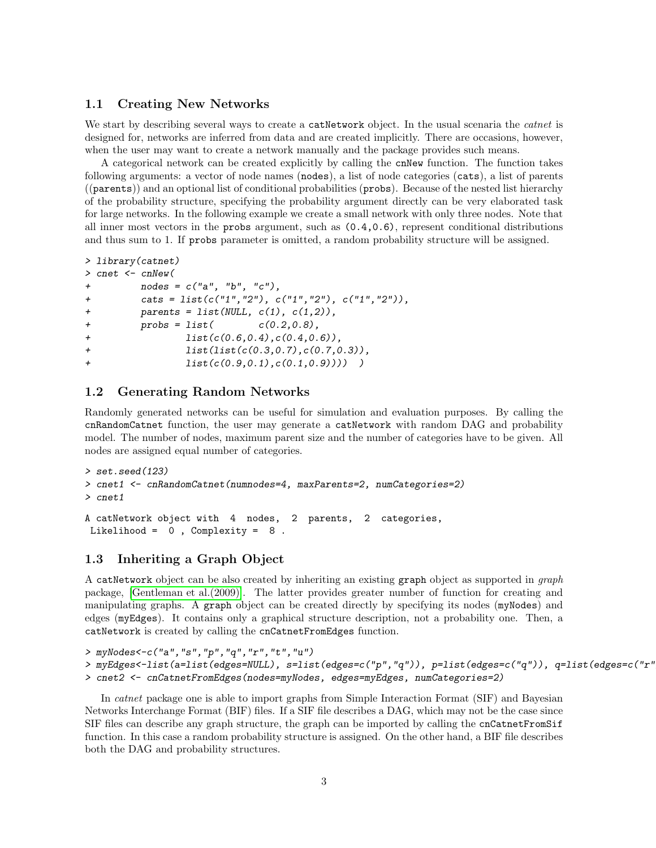### 1.1 Creating New Networks

We start by describing several ways to create a catNetwork object. In the usual scenaria the *catnet* is designed for, networks are inferred from data and are created implicitly. There are occasions, however, when the user may want to create a network manually and the package provides such means.

A categorical network can be created explicitly by calling the cnNew function. The function takes following arguments: a vector of node names (nodes), a list of node categories (cats), a list of parents ((parents)) and an optional list of conditional probabilities (probs). Because of the nested list hierarchy of the probability structure, specifying the probability argument directly can be very elaborated task for large networks. In the following example we create a small network with only three nodes. Note that all inner most vectors in the probs argument, such as (0.4,0.6), represent conditional distributions and thus sum to 1. If probs parameter is omitted, a random probability structure will be assigned.

```
> library(catnet)
> cnet <- cnNew(
+ nodes = c("a", "b", "c"),
+ cats = list(c("1","2"), c("1","2"), c("1","2")),
+ parents = list(NULL, c(1), c(1,2)),+ probs = list( c(0.2, 0.8),+ list(c(0.6,0.4),c(0.4,0.6)),
+ list(list(c(0.3,0.7),c(0.7,0.3)),
+ list(c(0.9,0.1),c(0.1,0.9)))) )
```
## 1.2 Generating Random Networks

Randomly generated networks can be useful for simulation and evaluation purposes. By calling the cnRandomCatnet function, the user may generate a catNetwork with random DAG and probability model. The number of nodes, maximum parent size and the number of categories have to be given. All nodes are assigned equal number of categories.

```
> set.seed(123)
> cnet1 <- cnRandomCatnet(numnodes=4, maxParents=2, numCategories=2)
> cnet1
A catNetwork object with 4 nodes, 2 parents, 2 categories,
Likelihood = 0, Complexity = 8.
```
### 1.3 Inheriting a Graph Object

A catNetwork object can be also created by inheriting an existing graph object as supported in graph package, [\[Gentleman et al.\(2009\)\]](#page-18-8). The latter provides greater number of function for creating and manipulating graphs. A graph object can be created directly by specifying its nodes (myNodes) and edges (myEdges). It contains only a graphical structure description, not a probability one. Then, a catNetwork is created by calling the cnCatnetFromEdges function.

```
> myNodes<-c("a","s","p","q","r","t","u")
```

```
> myEdges<-list(a=list(edges=NULL), s=list(edges=c("p","q")), p=list(edges=c("q")), q=list(edges=c("r"
```
> cnet2 <- cnCatnetFromEdges(nodes=myNodes, edges=myEdges, numCategories=2)

In catnet package one is able to import graphs from Simple Interaction Format (SIF) and Bayesian Networks Interchange Format (BIF) files. If a SIF file describes a DAG, which may not be the case since SIF files can describe any graph structure, the graph can be imported by calling the cnCatnetFromSif function. In this case a random probability structure is assigned. On the other hand, a BIF file describes both the DAG and probability structures.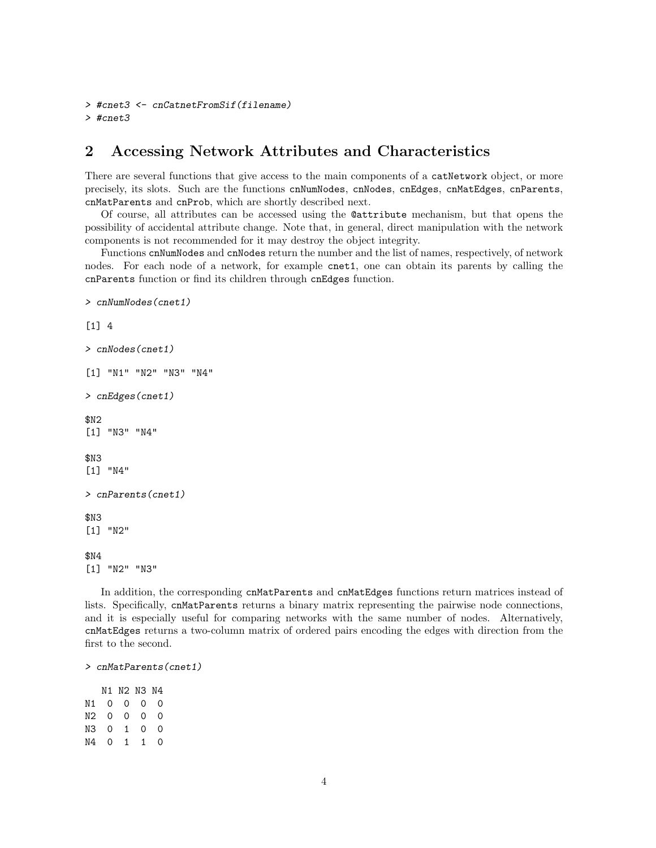```
> #cnet3 <- cnCatnetFromSif(filename)
> #cnet3
```
# 2 Accessing Network Attributes and Characteristics

There are several functions that give access to the main components of a catNetwork object, or more precisely, its slots. Such are the functions cnNumNodes, cnNodes, cnEdges, cnMatEdges, cnParents, cnMatParents and cnProb, which are shortly described next.

Of course, all attributes can be accessed using the @attribute mechanism, but that opens the possibility of accidental attribute change. Note that, in general, direct manipulation with the network components is not recommended for it may destroy the object integrity.

Functions cnNumNodes and cnNodes return the number and the list of names, respectively, of network nodes. For each node of a network, for example cnet1, one can obtain its parents by calling the cnParents function or find its children through cnEdges function.

```
> cnNumNodes(cnet1)
[1] 4
> cnNodes(cnet1)
[1] "N1" "N2" "N3" "N4"
> cnEdges(cnet1)
$N2
[1] "N3" "N4"
$N3
[1] "N4"
> cnParents(cnet1)
$N3
[1] "N2"
$N4
[1] "N2" "N3"
```
In addition, the corresponding cnMatParents and cnMatEdges functions return matrices instead of lists. Specifically, cnMatParents returns a binary matrix representing the pairwise node connections, and it is especially useful for comparing networks with the same number of nodes. Alternatively, cnMatEdges returns a two-column matrix of ordered pairs encoding the edges with direction from the first to the second.

```
> cnMatParents(cnet1)
```
N1 N2 N3 N4 N1 0 0 0 0 N2 0 0 0 0 N3 0 1 0 0 N4 0 1 1 0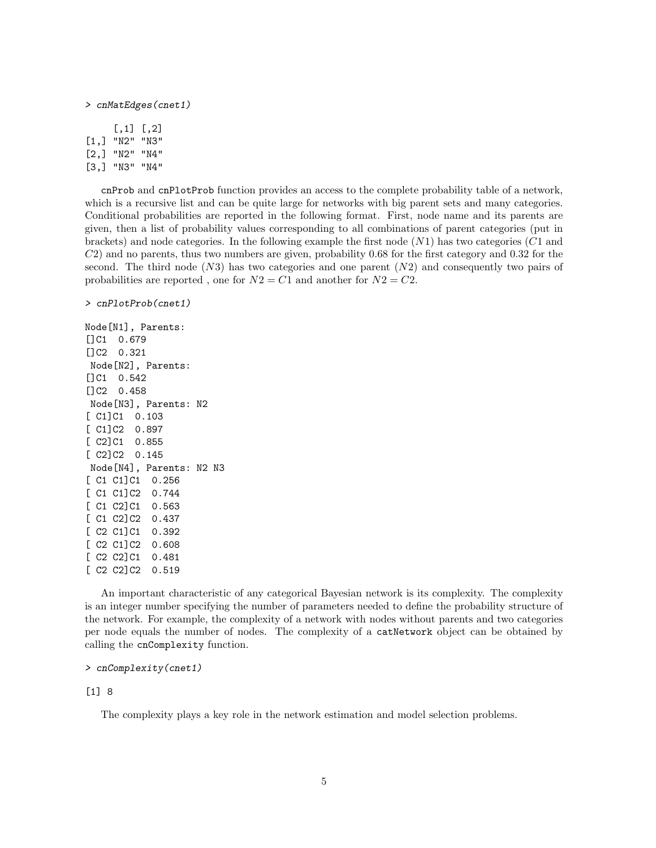#### > cnMatEdges(cnet1)

|                    | [., 1]    | $\lfloor .2 \rfloor$ |
|--------------------|-----------|----------------------|
| $\left[1, \right]$ | יי 17ט יי | "N3"                 |
| [2,]               | יי N2"    | "N4"                 |
| $\left[3,1\right]$ | יי צוו יי | "N4"                 |

cnProb and cnPlotProb function provides an access to the complete probability table of a network, which is a recursive list and can be quite large for networks with big parent sets and many categories. Conditional probabilities are reported in the following format. First, node name and its parents are given, then a list of probability values corresponding to all combinations of parent categories (put in brackets) and node categories. In the following example the first node  $(N1)$  has two categories  $(C1)$  and C2) and no parents, thus two numbers are given, probability 0.68 for the first category and 0.32 for the second. The third node  $(N3)$  has two categories and one parent  $(N2)$  and consequently two pairs of probabilities are reported, one for  $N2 = C1$  and another for  $N2 = C2$ .

> cnPlotProb(cnet1)

Node[N1], Parents: []C1 0.679 []C2 0.321 Node[N2], Parents: []C1 0.542 []C2 0.458 Node[N3], Parents: N2 [ C1]C1 0.103 [ C1]C2 0.897 [ C2]C1 0.855 [ C2]C2 0.145 Node[N4], Parents: N2 N3 [ C1 C1]C1 0.256 [ C1 C1]C2 0.744 [ C1 C2]C1 0.563 [ C1 C2]C2 0.437 [ C2 C1]C1 0.392 [ C2 C1]C2 0.608 [ C2 C2]C1 0.481 [ C2 C2]C2 0.519

An important characteristic of any categorical Bayesian network is its complexity. The complexity is an integer number specifying the number of parameters needed to define the probability structure of the network. For example, the complexity of a network with nodes without parents and two categories per node equals the number of nodes. The complexity of a catNetwork object can be obtained by calling the cnComplexity function.

### > cnComplexity(cnet1)

#### [1] 8

The complexity plays a key role in the network estimation and model selection problems.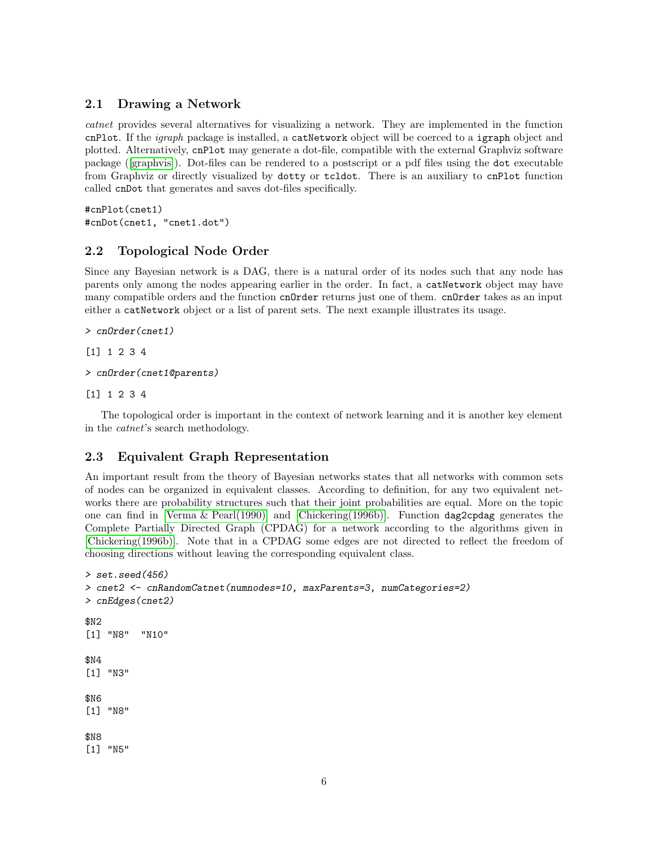## 2.1 Drawing a Network

catnet provides several alternatives for visualizing a network. They are implemented in the function cnPlot. If the *igraph* package is installed, a catNetwork object will be coerced to a **igraph** object and plotted. Alternatively, cnPlot may generate a dot-file, compatible with the external Graphviz software package ([\[graphvis\]](#page-18-9)). Dot-files can be rendered to a postscript or a pdf files using the dot executable from Graphviz or directly visualized by dotty or tcldot. There is an auxiliary to cnPlot function called cnDot that generates and saves dot-files specifically.

```
#cnPlot(cnet1)
#cnDot(cnet1, "cnet1.dot")
```
## 2.2 Topological Node Order

Since any Bayesian network is a DAG, there is a natural order of its nodes such that any node has parents only among the nodes appearing earlier in the order. In fact, a catNetwork object may have many compatible orders and the function cnOrder returns just one of them. cnOrder takes as an input either a catNetwork object or a list of parent sets. The next example illustrates its usage.

```
> cnOrder(cnet1)
```

```
[1] 1 2 3 4
```

```
> cnOrder(cnet1@parents)
```
[1] 1 2 3 4

The topological order is important in the context of network learning and it is another key element in the catnet's search methodology.

## 2.3 Equivalent Graph Representation

An important result from the theory of Bayesian networks states that all networks with common sets of nodes can be organized in equivalent classes. According to definition, for any two equivalent networks there are probability structures such that their joint probabilities are equal. More on the topic one can find in [\[Verma & Pearl\(1990\)\]](#page-19-4) and [\[Chickering\(1996b\)\]](#page-18-2). Function dag2cpdag generates the Complete Partially Directed Graph (CPDAG) for a network according to the algorithms given in [\[Chickering\(1996b\)\]](#page-18-2). Note that in a CPDAG some edges are not directed to reflect the freedom of choosing directions without leaving the corresponding equivalent class.

```
> set.seed(456)
> cnet2 <- cnRandomCatnet(numnodes=10, maxParents=3, numCategories=2)
> cnEdges(cnet2)
$N2
[1] "N8" "N10"
$N4
[1] "N3"
$N6
[1] "N8"
$N8
[1] "N5"
```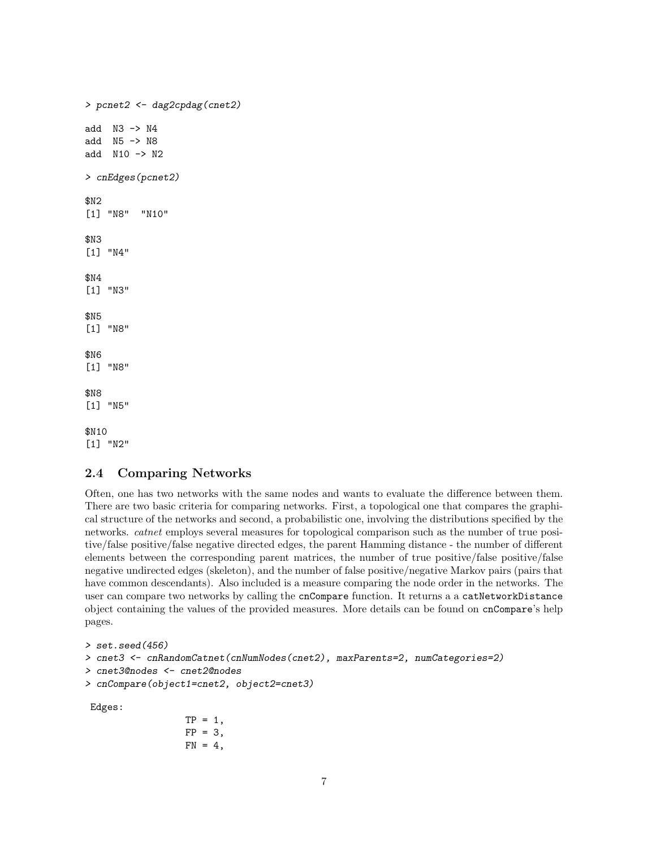```
> pcnet2 <- dag2cpdag(cnet2)
add N3 -> N4
add N5 -> N8
add N10 -> N2
> cnEdges(pcnet2)
$N2
[1] "N8" "N10"
$N3
[1] "N4"
$N4
[1] "N3"
$N5
[1] "N8"
$N6
[1] "N8"
$N8
[1] "N5"
$N10
[1] "N2"
```
## 2.4 Comparing Networks

Often, one has two networks with the same nodes and wants to evaluate the difference between them. There are two basic criteria for comparing networks. First, a topological one that compares the graphical structure of the networks and second, a probabilistic one, involving the distributions specified by the networks. catnet employs several measures for topological comparison such as the number of true positive/false positive/false negative directed edges, the parent Hamming distance - the number of different elements between the corresponding parent matrices, the number of true positive/false positive/false negative undirected edges (skeleton), and the number of false positive/negative Markov pairs (pairs that have common descendants). Also included is a measure comparing the node order in the networks. The user can compare two networks by calling the cnCompare function. It returns a a catNetworkDistance object containing the values of the provided measures. More details can be found on cnCompare's help pages.

```
> set.seed(456)
> cnet3 <- cnRandomCatnet(cnNumNodes(cnet2), maxParents=2, numCategories=2)
> cnet3@nodes <- cnet2@nodes
> cnCompare(object1=cnet2, object2=cnet3)
Edges:
```

```
TP = 1,
FP = 3,FN = 4,
```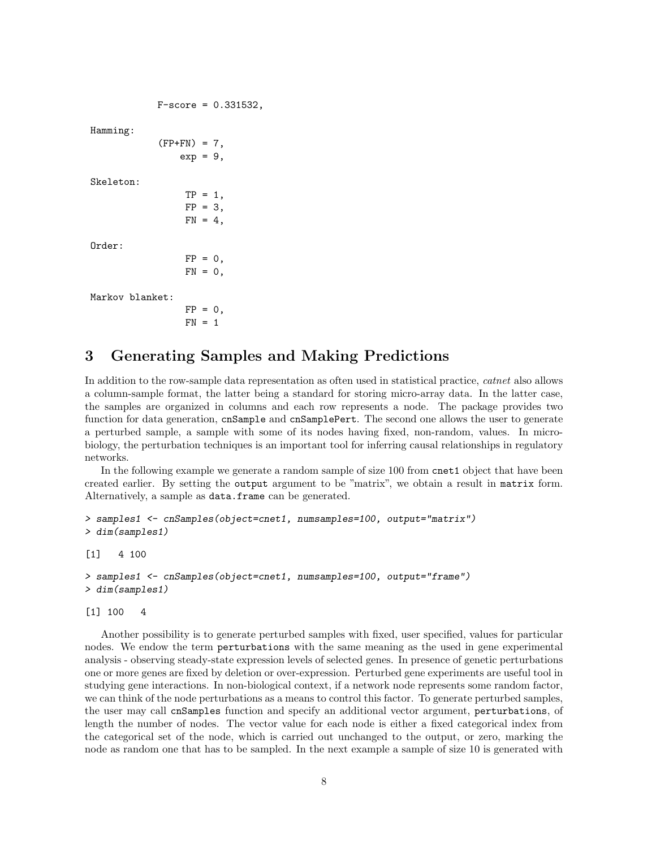```
F-score = 0.331532,
```
 $TP = 1$ ,  $FP = 3$  $FN = 4$ ,

Hamming:

```
(FP+FN) = 7,
    exp = 9,
```
Skeleton:

Order:

 $FP = 0,$  $FN = 0$ ,

Markov blanket:

 $FP = 0$ .  $FN = 1$ 

# 3 Generating Samples and Making Predictions

In addition to the row-sample data representation as often used in statistical practice, *catnet* also allows a column-sample format, the latter being a standard for storing micro-array data. In the latter case, the samples are organized in columns and each row represents a node. The package provides two function for data generation, cnSample and cnSamplePert. The second one allows the user to generate a perturbed sample, a sample with some of its nodes having fixed, non-random, values. In microbiology, the perturbation techniques is an important tool for inferring causal relationships in regulatory networks.

In the following example we generate a random sample of size 100 from cnet1 object that have been created earlier. By setting the output argument to be "matrix", we obtain a result in matrix form. Alternatively, a sample as data.frame can be generated.

```
> samples1 <- cnSamples(object=cnet1, numsamples=100, output="matrix")
> dim(samples1)
[1] 4 100
> samples1 <- cnSamples(object=cnet1, numsamples=100, output="frame")
> dim(samples1)
```
[1] 100 4

Another possibility is to generate perturbed samples with fixed, user specified, values for particular nodes. We endow the term perturbations with the same meaning as the used in gene experimental analysis - observing steady-state expression levels of selected genes. In presence of genetic perturbations one or more genes are fixed by deletion or over-expression. Perturbed gene experiments are useful tool in studying gene interactions. In non-biological context, if a network node represents some random factor, we can think of the node perturbations as a means to control this factor. To generate perturbed samples, the user may call cnSamples function and specify an additional vector argument, perturbations, of length the number of nodes. The vector value for each node is either a fixed categorical index from the categorical set of the node, which is carried out unchanged to the output, or zero, marking the node as random one that has to be sampled. In the next example a sample of size 10 is generated with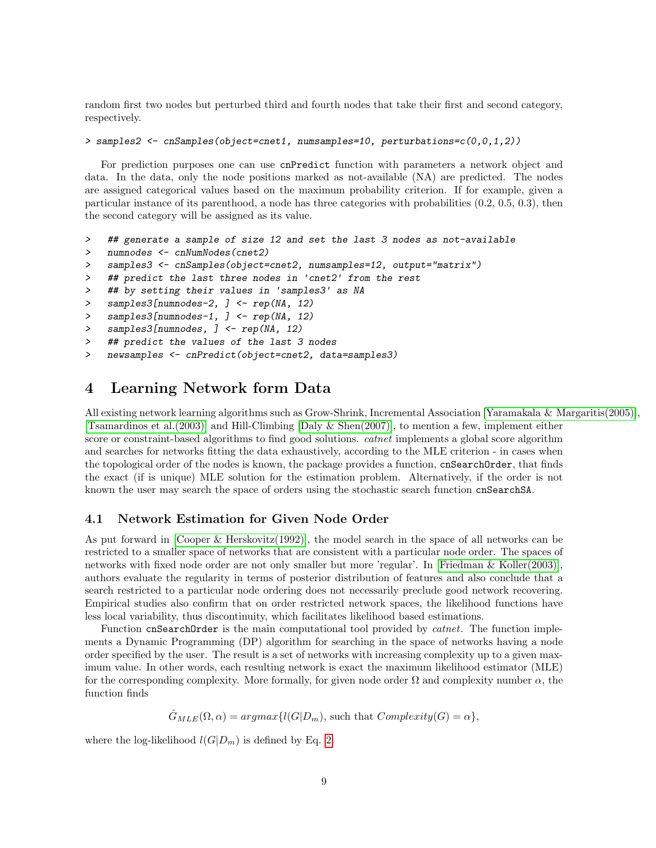random first two nodes but perturbed third and fourth nodes that take their first and second category, respectively.

#### > samples2 <- cnSamples(object=cnet1, numsamples=10, perturbations=c(0,0,1,2))

For prediction purposes one can use cnPredict function with parameters a network object and data. In the data, only the node positions marked as not-available (NA) are predicted. The nodes are assigned categorical values based on the maximum probability criterion. If for example, given a particular instance of its parenthood, a node has three categories with probabilities (0.2, 0.5, 0.3), then the second category will be assigned as its value.

```
> ## generate a sample of size 12 and set the last 3 nodes as not-available
```

```
> numnodes <- cnNumNodes(cnet2)
```

```
> samples3 <- cnSamples(object=cnet2, numsamples=12, output="matrix")
```
> ## predict the last three nodes in 'cnet2' from the rest

```
> ## by setting their values in 'samples3' as NA
```

```
> samples3[numnodes-2, ] <- rep(NA, 12)
```

```
> samples3[numnodes-1, ] <- rep(NA, 12)
```

```
> samples3[numnodes, ] <- rep(NA, 12)
```

```
> ## predict the values of the last 3 nodes
```

```
> newsamples <- cnPredict(object=cnet2, data=samples3)
```
# 4 Learning Network form Data

All existing network learning algorithms such as Grow-Shrink, Incremental Association [\[Yaramakala & Margaritis\(2005\)\]](#page-19-2), [\[Tsamardinos et al.\(2003\)\]](#page-19-1) and Hill-Climbing [\[Daly & Shen\(2007\)\]](#page-18-4), to mention a few, implement either score or constraint-based algorithms to find good solutions. *catnet* implements a global score algorithm and searches for networks fitting the data exhaustively, according to the MLE criterion - in cases when the topological order of the nodes is known, the package provides a function, cnSearchOrder, that finds the exact (if is unique) MLE solution for the estimation problem. Alternatively, if the order is not known the user may search the space of orders using the stochastic search function cnSearchSA.

## 4.1 Network Estimation for Given Node Order

As put forward in [\[Cooper & Herskovitz\(1992\)\]](#page-18-1), the model search in the space of all networks can be restricted to a smaller space of networks that are consistent with a particular node order. The spaces of networks with fixed node order are not only smaller but more 'regular'. In [\[Friedman & Koller\(2003\)\]](#page-18-5), authors evaluate the regularity in terms of posterior distribution of features and also conclude that a search restricted to a particular node ordering does not necessarily preclude good network recovering. Empirical studies also confirm that on order restricted network spaces, the likelihood functions have less local variability, thus discontinuity, which facilitates likelihood based estimations.

Function cnSearchOrder is the main computational tool provided by *catnet*. The function implements a Dynamic Programming (DP) algorithm for searching in the space of networks having a node order specified by the user. The result is a set of networks with increasing complexity up to a given maximum value. In other words, each resulting network is exact the maximum likelihood estimator (MLE) for the corresponding complexity. More formally, for given node order  $\Omega$  and complexity number  $\alpha$ , the function finds

 $\hat{G}_{MLE}(\Omega, \alpha) = argmax\{l(G|D_m), \text{such that } Complexity(G) = \alpha\},\$ 

where the log-likelihood  $l(G|D_m)$  is defined by Eq. [2.](#page-1-0)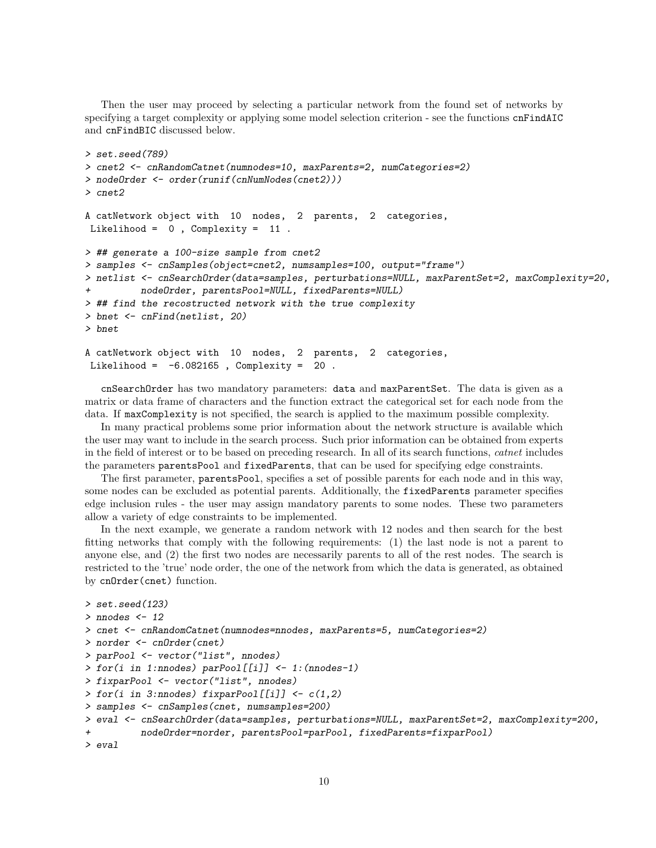Then the user may proceed by selecting a particular network from the found set of networks by specifying a target complexity or applying some model selection criterion - see the functions cnFindAIC and cnFindBIC discussed below.

```
> set.seed(789)
> cnet2 <- cnRandomCatnet(numnodes=10, maxParents=2, numCategories=2)
> nodeOrder <- order(runif(cnNumNodes(cnet2)))
> cnet2
A catNetwork object with 10 nodes, 2 parents, 2 categories,
Likelihood = 0 , Complexity = 11 .
> ## generate a 100-size sample from cnet2
> samples <- cnSamples(object=cnet2, numsamples=100, output="frame")
> netlist <- cnSearchOrder(data=samples, perturbations=NULL, maxParentSet=2, maxComplexity=20,
         nodeOrder, parentsPool=NULL, fixedParents=NULL)
> ## find the recostructed network with the true complexity
> bnet <- cnFind(netlist, 20)
> bnet
A catNetwork object with 10 nodes, 2 parents, 2 categories,
Likelihood = -6.082165, Complexity = 20.
```
cnSearchOrder has two mandatory parameters: data and maxParentSet. The data is given as a matrix or data frame of characters and the function extract the categorical set for each node from the data. If maxComplexity is not specified, the search is applied to the maximum possible complexity.

In many practical problems some prior information about the network structure is available which the user may want to include in the search process. Such prior information can be obtained from experts in the field of interest or to be based on preceding research. In all of its search functions, catnet includes the parameters parentsPool and fixedParents, that can be used for specifying edge constraints.

The first parameter, parentsPool, specifies a set of possible parents for each node and in this way, some nodes can be excluded as potential parents. Additionally, the fixedParents parameter specifies edge inclusion rules - the user may assign mandatory parents to some nodes. These two parameters allow a variety of edge constraints to be implemented.

In the next example, we generate a random network with 12 nodes and then search for the best fitting networks that comply with the following requirements: (1) the last node is not a parent to anyone else, and (2) the first two nodes are necessarily parents to all of the rest nodes. The search is restricted to the 'true' node order, the one of the network from which the data is generated, as obtained by cnOrder(cnet) function.

```
> set.seed(123)
> nnodes <- 12
> cnet <- cnRandomCatnet(numnodes=nnodes, maxParents=5, numCategories=2)
> norder <- cnOrder(cnet)
> parPool <- vector("list", nnodes)
> for(i in 1:nnodes) parPool[[i]] <- 1:(nnodes-1)
> fixparPool <- vector("list", nnodes)
> for(i in 3:nnodes) fixparPool[[i]] <- c(1,2)> samples <- cnSamples(cnet, numsamples=200)
> eval <- cnSearchOrder(data=samples, perturbations=NULL, maxParentSet=2, maxComplexity=200,
          + nodeOrder=norder, parentsPool=parPool, fixedParents=fixparPool)
> eval
```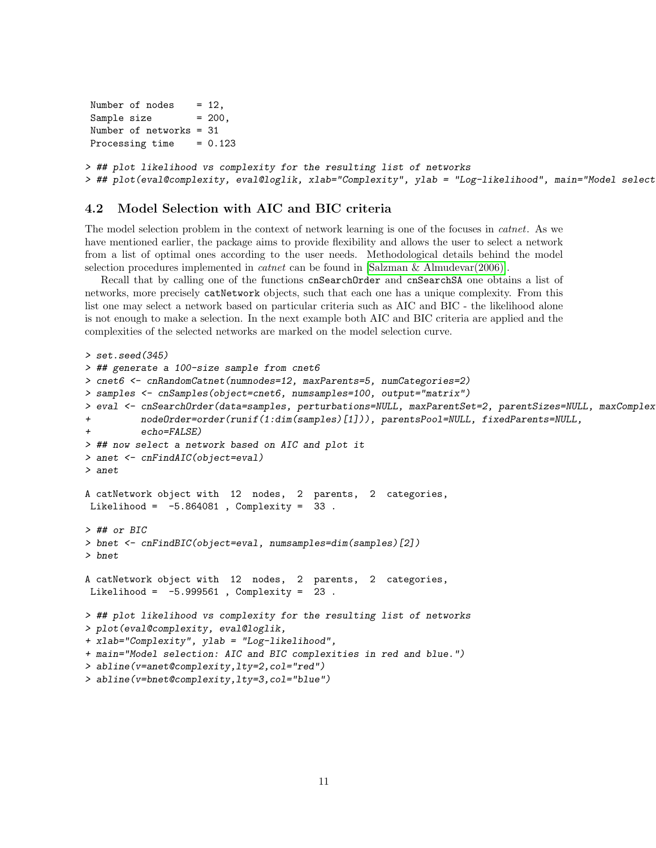```
Number of nodes = 12,
Sample size = 200,
Number of networks = 31
Processing time = 0.123> ## plot likelihood vs complexity for the resulting list of networks
> ## plot(eval@complexity, eval@loglik, xlab="Complexity", ylab = "Log-likelihood", main="Model select
```
## 4.2 Model Selection with AIC and BIC criteria

The model selection problem in the context of network learning is one of the focuses in catnet. As we have mentioned earlier, the package aims to provide flexibility and allows the user to select a network from a list of optimal ones according to the user needs. Methodological details behind the model selection procedures implemented in catnet can be found in [\[Salzman & Almudevar\(2006\)\]](#page-19-5).

Recall that by calling one of the functions cnSearchOrder and cnSearchSA one obtains a list of networks, more precisely catNetwork objects, such that each one has a unique complexity. From this list one may select a network based on particular criteria such as AIC and BIC - the likelihood alone is not enough to make a selection. In the next example both AIC and BIC criteria are applied and the complexities of the selected networks are marked on the model selection curve.

```
> set.seed(345)
> ## generate a 100-size sample from cnet6
> cnet6 <- cnRandomCatnet(numnodes=12, maxParents=5, numCategories=2)
> samples <- cnSamples(object=cnet6, numsamples=100, output="matrix")
> eval <- cnSearchOrder(data=samples, perturbations=NULL, maxParentSet=2, parentSizes=NULL, maxComplex
+ nodeOrder=order(runif(1:dim(samples)[1])), parentsPool=NULL, fixedParents=NULL,
          echo = FALSE)> ## now select a network based on AIC and plot it
> anet <- cnFindAIC(object=eval)
> anet
A catNetwork object with 12 nodes, 2 parents, 2 categories,
Likelihood = -5.864081 , Complexity = 33 .
> ## or BIC
> bnet <- cnFindBIC(object=eval, numsamples=dim(samples)[2])
> bnet
A catNetwork object with 12 nodes, 2 parents, 2 categories,
Likelihood = -5.999561 , Complexity = 23 .
> ## plot likelihood vs complexity for the resulting list of networks
> plot(eval@complexity, eval@loglik,
+ xlab="Complexity", ylab = "Log-likelihood",
+ main="Model selection: AIC and BIC complexities in red and blue.")
> abline(v=anet@complexity,lty=2,col="red")
> abline(v=bnet@complexity,lty=3,col="blue")
```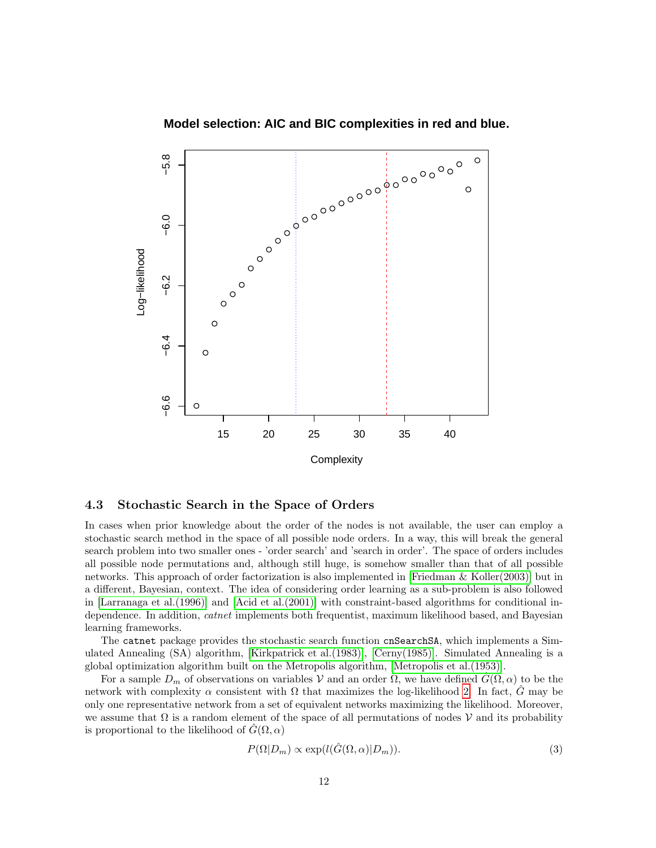

## **Model selection: AIC and BIC complexities in red and blue.**

4.3 Stochastic Search in the Space of Orders

In cases when prior knowledge about the order of the nodes is not available, the user can employ a stochastic search method in the space of all possible node orders. In a way, this will break the general search problem into two smaller ones - 'order search' and 'search in order'. The space of orders includes all possible node permutations and, although still huge, is somehow smaller than that of all possible networks. This approach of order factorization is also implemented in [\[Friedman & Koller\(2003\)\]](#page-18-5) but in a different, Bayesian, context. The idea of considering order learning as a sub-problem is also followed in [\[Larranaga et al.\(1996\)\]](#page-19-0) and [\[Acid et al.\(2001\)\]](#page-18-10) with constraint-based algorithms for conditional independence. In addition, *catnet* implements both frequentist, maximum likelihood based, and Bayesian learning frameworks.

The catnet package provides the stochastic search function cnSearchSA, which implements a Simulated Annealing (SA) algorithm, [\[Kirkpatrick et al.\(1983\)\]](#page-19-6), [\[Cerny\(1985\)\]](#page-18-11). Simulated Annealing is a global optimization algorithm built on the Metropolis algorithm, [\[Metropolis et al.\(1953\)\]](#page-19-7).

For a sample  $D_m$  of observations on variables V and an order  $\Omega$ , we have defined  $G(\Omega, \alpha)$  to be the network with complexity  $\alpha$  consistent with  $\Omega$  that maximizes the log-likelihood [2.](#page-1-0) In fact, G may be only one representative network from a set of equivalent networks maximizing the likelihood. Moreover, we assume that  $\Omega$  is a random element of the space of all permutations of nodes V and its probability is proportional to the likelihood of  $G(\Omega, \alpha)$ 

$$
P(\Omega|D_m) \propto \exp(l(\hat{G}(\Omega,\alpha)|D_m)).
$$
\n(3)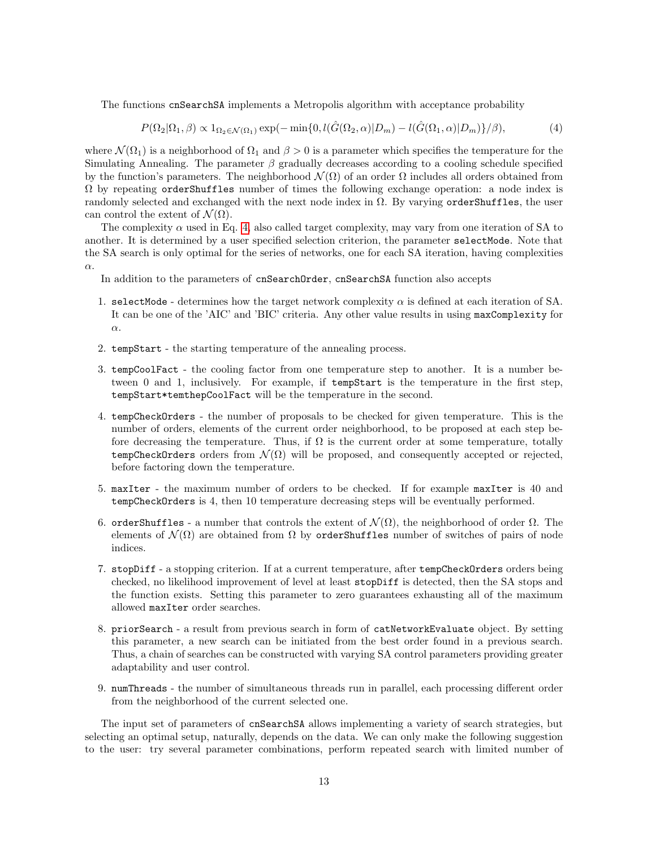The functions cnSearchSA implements a Metropolis algorithm with acceptance probability

<span id="page-12-0"></span>
$$
P(\Omega_2|\Omega_1,\beta) \propto 1_{\Omega_2 \in \mathcal{N}(\Omega_1)} \exp(-\min\{0, l(\hat{G}(\Omega_2,\alpha)|D_m) - l(\hat{G}(\Omega_1,\alpha)|D_m)\}/\beta),\tag{4}
$$

where  $\mathcal{N}(\Omega_1)$  is a neighborhood of  $\Omega_1$  and  $\beta > 0$  is a parameter which specifies the temperature for the Simulating Annealing. The parameter  $\beta$  gradually decreases according to a cooling schedule specified by the function's parameters. The neighborhood  $\mathcal{N}(\Omega)$  of an order  $\Omega$  includes all orders obtained from  $\Omega$  by repeating orderShuffles number of times the following exchange operation: a node index is randomly selected and exchanged with the next node index in  $\Omega$ . By varying orderShuffles, the user can control the extent of  $\mathcal{N}(\Omega)$ .

The complexity  $\alpha$  used in Eq. [4,](#page-12-0) also called target complexity, may vary from one iteration of SA to another. It is determined by a user specified selection criterion, the parameter selectMode. Note that the SA search is only optimal for the series of networks, one for each SA iteration, having complexities α.

In addition to the parameters of cnSearchOrder, cnSearchSA function also accepts

- 1. selectMode determines how the target network complexity  $\alpha$  is defined at each iteration of SA. It can be one of the 'AIC' and 'BIC' criteria. Any other value results in using maxComplexity for  $\alpha$ .
- 2. tempStart the starting temperature of the annealing process.
- 3. tempCoolFact the cooling factor from one temperature step to another. It is a number between 0 and 1, inclusively. For example, if tempStart is the temperature in the first step, tempStart\*temthepCoolFact will be the temperature in the second.
- 4. tempCheckOrders the number of proposals to be checked for given temperature. This is the number of orders, elements of the current order neighborhood, to be proposed at each step before decreasing the temperature. Thus, if  $\Omega$  is the current order at some temperature, totally tempCheckOrders orders from  $\mathcal{N}(\Omega)$  will be proposed, and consequently accepted or rejected, before factoring down the temperature.
- 5. maxIter the maximum number of orders to be checked. If for example maxIter is 40 and tempCheckOrders is 4, then 10 temperature decreasing steps will be eventually performed.
- 6. orderShuffles a number that controls the extent of  $\mathcal{N}(\Omega)$ , the neighborhood of order  $\Omega$ . The elements of  $\mathcal{N}(\Omega)$  are obtained from  $\Omega$  by orderShuffles number of switches of pairs of node indices.
- 7. stopDiff a stopping criterion. If at a current temperature, after tempCheckOrders orders being checked, no likelihood improvement of level at least stopDiff is detected, then the SA stops and the function exists. Setting this parameter to zero guarantees exhausting all of the maximum allowed maxIter order searches.
- 8. priorSearch a result from previous search in form of catNetworkEvaluate object. By setting this parameter, a new search can be initiated from the best order found in a previous search. Thus, a chain of searches can be constructed with varying SA control parameters providing greater adaptability and user control.
- 9. numThreads the number of simultaneous threads run in parallel, each processing different order from the neighborhood of the current selected one.

The input set of parameters of cnSearchSA allows implementing a variety of search strategies, but selecting an optimal setup, naturally, depends on the data. We can only make the following suggestion to the user: try several parameter combinations, perform repeated search with limited number of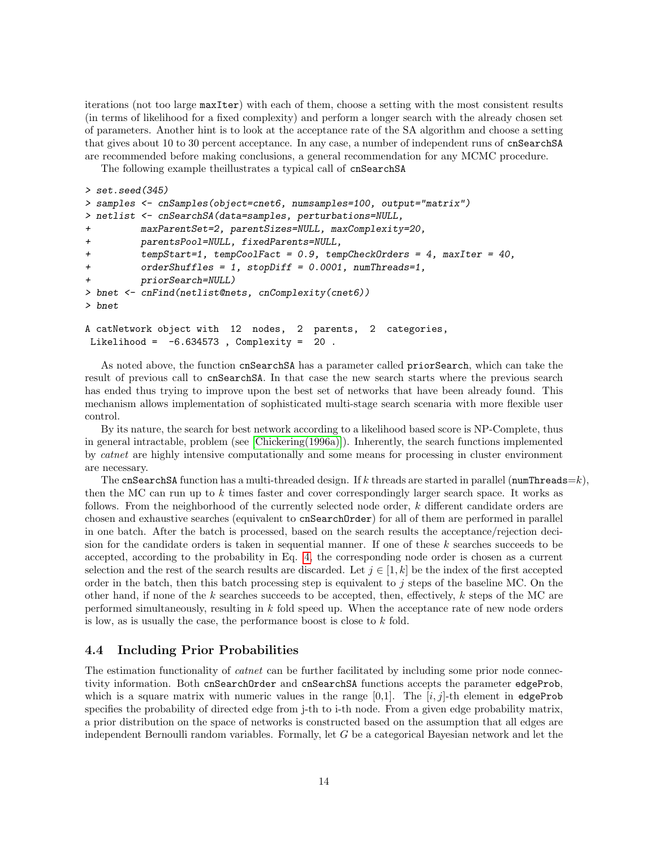iterations (not too large maxIter) with each of them, choose a setting with the most consistent results (in terms of likelihood for a fixed complexity) and perform a longer search with the already chosen set of parameters. Another hint is to look at the acceptance rate of the SA algorithm and choose a setting that gives about 10 to 30 percent acceptance. In any case, a number of independent runs of cnSearchSA are recommended before making conclusions, a general recommendation for any MCMC procedure.

The following example theillustrates a typical call of cnSearchSA

```
> set.seed(345)
> samples <- cnSamples(object=cnet6, numsamples=100, output="matrix")
> netlist <- cnSearchSA(data=samples, perturbations=NULL,
+ maxParentSet=2, parentSizes=NULL, maxComplexity=20,
+ parentsPool=NULL, fixedParents=NULL,
+ tempStart=1, tempCoolFact = 0.9, tempCheckOrders = 4, maxIter = 40,
+ orderShuffles = 1, stopDiff = 0.0001, numThreads=1,
         priorSearch=NULL)
> bnet <- cnFind(netlist@nets, cnComplexity(cnet6))
> bnet
A catNetwork object with 12 nodes, 2 parents, 2 categories,
Likelihood = -6.634573, Complexity = 20.
```
As noted above, the function cnSearchSA has a parameter called priorSearch, which can take the result of previous call to cnSearchSA. In that case the new search starts where the previous search has ended thus trying to improve upon the best set of networks that have been already found. This mechanism allows implementation of sophisticated multi-stage search scenaria with more flexible user control.

By its nature, the search for best network according to a likelihood based score is NP-Complete, thus in general intractable, problem (see [\[Chickering\(1996a\)\]](#page-18-12)). Inherently, the search functions implemented by catnet are highly intensive computationally and some means for processing in cluster environment are necessary.

The cnSearchSA function has a multi-threaded design. If k threads are started in parallel (numThreads=k), then the MC can run up to  $k$  times faster and cover correspondingly larger search space. It works as follows. From the neighborhood of the currently selected node order, k different candidate orders are chosen and exhaustive searches (equivalent to cnSearchOrder) for all of them are performed in parallel in one batch. After the batch is processed, based on the search results the acceptance/rejection decision for the candidate orders is taken in sequential manner. If one of these  $k$  searches succeeds to be accepted, according to the probability in Eq. [4,](#page-12-0) the corresponding node order is chosen as a current selection and the rest of the search results are discarded. Let  $j \in [1, k]$  be the index of the first accepted order in the batch, then this batch processing step is equivalent to  $j$  steps of the baseline MC. On the other hand, if none of the  $k$  searches succeeds to be accepted, then, effectively,  $k$  steps of the MC are performed simultaneously, resulting in k fold speed up. When the acceptance rate of new node orders is low, as is usually the case, the performance boost is close to  $k$  fold.

## 4.4 Including Prior Probabilities

The estimation functionality of *catnet* can be further facilitated by including some prior node connectivity information. Both cnSearchOrder and cnSearchSA functions accepts the parameter edgeProb, which is a square matrix with numeric values in the range  $[0,1]$ . The  $[i, j]$ -th element in edgeProb specifies the probability of directed edge from j-th to i-th node. From a given edge probability matrix, a prior distribution on the space of networks is constructed based on the assumption that all edges are independent Bernoulli random variables. Formally, let G be a categorical Bayesian network and let the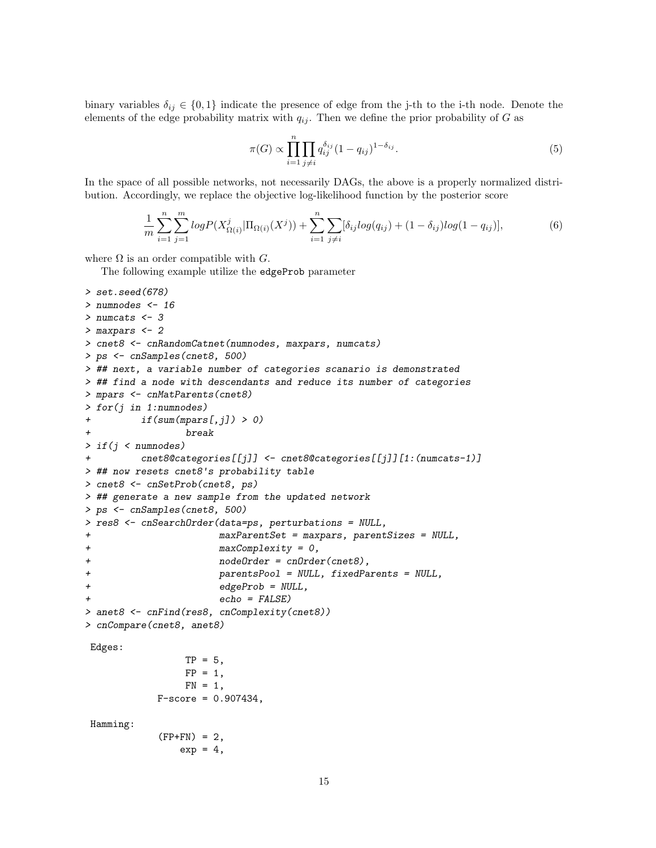binary variables  $\delta_{ij} \in \{0,1\}$  indicate the presence of edge from the j-th to the i-th node. Denote the elements of the edge probability matrix with  $q_{ij}$ . Then we define the prior probability of G as

$$
\pi(G) \propto \prod_{i=1}^{n} \prod_{j \neq i} q_{ij}^{\delta_{ij}} (1 - q_{ij})^{1 - \delta_{ij}}.
$$
\n(5)

In the space of all possible networks, not necessarily DAGs, the above is a properly normalized distribution. Accordingly, we replace the objective log-likelihood function by the posterior score

$$
\frac{1}{m} \sum_{i=1}^{n} \sum_{j=1}^{m} log P(X_{\Omega(i)}^{j} | \Pi_{\Omega(i)}(X^{j})) + \sum_{i=1}^{n} \sum_{j \neq i} [\delta_{ij} log(q_{ij}) + (1 - \delta_{ij}) log(1 - q_{ij})],
$$
\n(6)

where  $\Omega$  is an order compatible with  $G$ .

The following example utilize the edgeProb parameter

```
> set.seed(678)
> numnodes <- 16
> numcats <- 3
> maxpars <- 2
> cnet8 <- cnRandomCatnet(numnodes, maxpars, numcats)
> ps <- cnSamples(cnet8, 500)
> ## next, a variable number of categories scanario is demonstrated
> ## find a node with descendants and reduce its number of categories
> mpars <- cnMatParents(cnet8)
> for(j in 1:numnodes)
+ if(sum(mpars[, j]) > 0)break
> if(j < numnodes)
+ cnet8@categories[[j]] <- cnet8@categories[[j]][1:(numcats-1)]
> ## now resets cnet8's probability table
> cnet8 <- cnSetProb(cnet8, ps)
> ## generate a new sample from the updated network
> ps <- cnSamples(cnet8, 500)
> res8 <- cnSearchOrder(data=ps, perturbations = NULL,
+ maxParentSet = maxpars, parentSizes = NULL,
+ maxComplexity = 0,
+ nodeOrder = cnOrder(cnet8),
+ parentsPool = NULL, fixedParents = NULL,
+ edgeProb = NULL,
                     echo = FALSE)> anet8 <- cnFind(res8, cnComplexity(cnet8))
> cnCompare(cnet8, anet8)
Edges:
                TP = 5,
                FP = 1,
                FN = 1,
           F-score = 0.907434,Hamming:
           (FP+FN) = 2,
               exp = 4,
```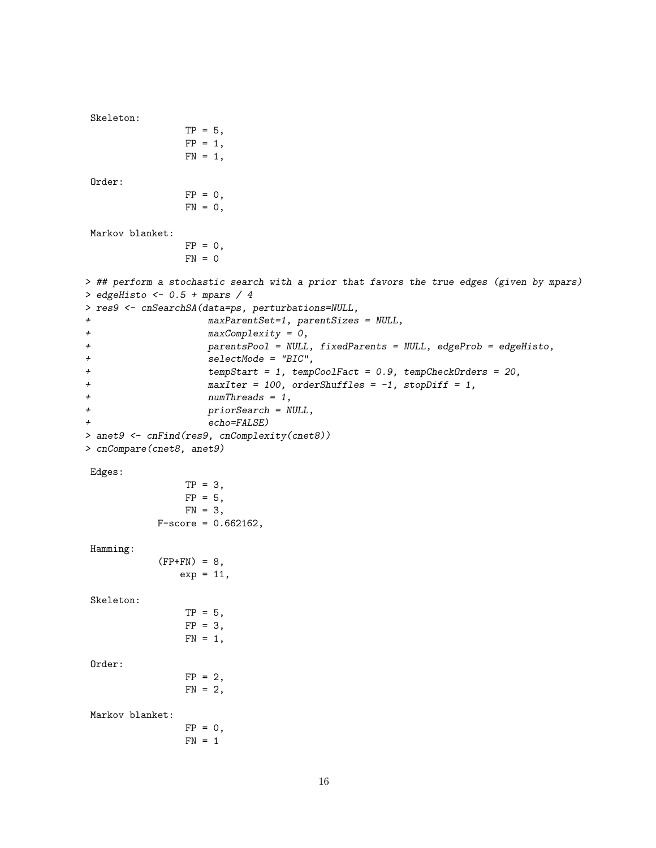```
Skeleton:
              TP = 5,
              FP = 1,
              FN = 1,Order:
              FP = 0,
              FN = 0,
Markov blanket:
              FP = 0,
              FN = 0> ## perform a stochastic search with a prior that favors the true edges (given by mpars)
> edgeHisto <- 0.5 + mpars / 4
> res9 <- cnSearchSA(data=ps, perturbations=NULL,
+ maxParentSet=1, parentSizes = NULL,
+ maxComplexity = 0,
+ parentsPool = NULL, fixedParents = NULL, edgeProb = edgeHisto,
+ selectMode = "BIC",
+ tempStart = 1, tempCoolFact = 0.9, tempCheckOrders = 20,
+ maxIter = 100, orderShuffles = -1, stopDiff = 1,
+ numThreads = 1,
+ priorSearch = NULL,
+ echo=FALSE)
> anet9 <- cnFind(res9, cnComplexity(cnet8))
> cnCompare(cnet8, anet9)
Edges:
              TP = 3,
              FP = 5,
              FN = 3,F-score = 0.662162,
Hamming:
          (FP+FN) = 8,
             exp = 11,
Skeleton:
              TP = 5,
              FP = 3,
              FN = 1,Order:
              FP = 2,FN = 2,Markov blanket:
              FP = 0,FN = 1
```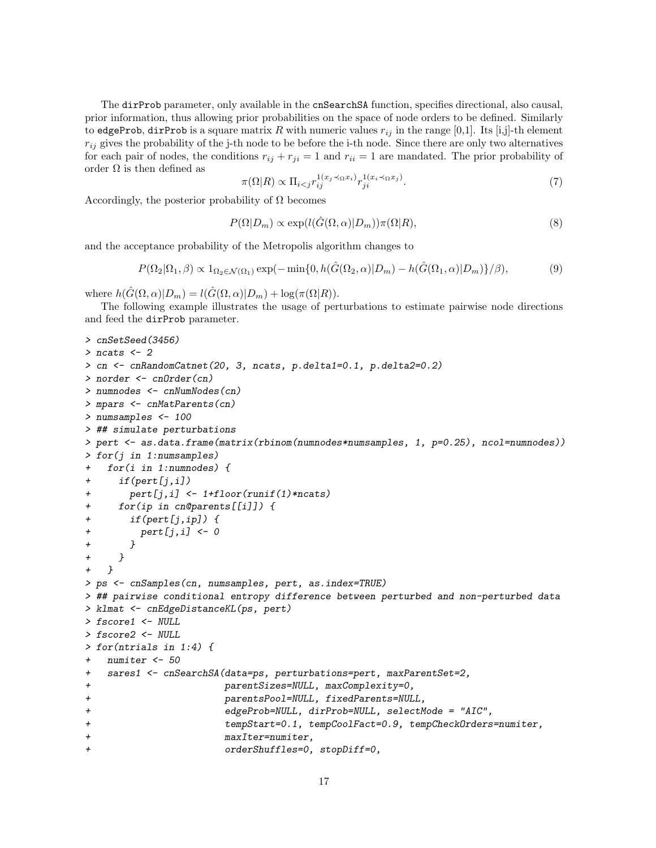The dirProb parameter, only available in the cnSearchSA function, specifies directional, also causal, prior information, thus allowing prior probabilities on the space of node orders to be defined. Similarly to edgeProb, dirProb is a square matrix R with numeric values  $r_{ij}$  in the range [0,1]. Its [i,j]-th element  $r_{ij}$  gives the probability of the j-th node to be before the i-th node. Since there are only two alternatives for each pair of nodes, the conditions  $r_{ij} + r_{ji} = 1$  and  $r_{ii} = 1$  are mandated. The prior probability of order  $\Omega$  is then defined as

$$
\pi(\Omega|R) \propto \Pi_{i < j} r_{ij}^{1(x_j \prec \Omega x_i)} r_{ji}^{1(x_i \prec \Omega x_j)}.\tag{7}
$$

Accordingly, the posterior probability of  $\Omega$  becomes

$$
P(\Omega|D_m) \propto \exp(l(\hat{G}(\Omega,\alpha)|D_m))\pi(\Omega|R),\tag{8}
$$

and the acceptance probability of the Metropolis algorithm changes to

$$
P(\Omega_2|\Omega_1, \beta) \propto 1_{\Omega_2 \in \mathcal{N}(\Omega_1)} \exp(-\min\{0, h(\hat{G}(\Omega_2, \alpha)|D_m) - h(\hat{G}(\Omega_1, \alpha)|D_m)\}/\beta),\tag{9}
$$

where  $h(\tilde{G}(\Omega,\alpha)|D_m) = l(\tilde{G}(\Omega,\alpha)|D_m) + \log(\pi(\Omega|R)).$ 

The following example illustrates the usage of perturbations to estimate pairwise node directions and feed the dirProb parameter.

```
> cnSetSeed(3456)
> ncats <-2> cn <- cnRandomCatnet(20, 3, ncats, p.delta1=0.1, p.delta2=0.2)
> norder <- cnOrder(cn)
> numnodes <- cnNumNodes(cn)
> mpars <- cnMatParents(cn)
> numsamples <- 100
> ## simulate perturbations
> pert <- as.data.frame(matrix(rbinom(numnodes*numsamples, 1, p=0.25), ncol=numnodes))
> for(j in 1:numsamples)
+ for(i in 1:numnodes) {
+ if(pert[j,i])
+ pert[j,i] <- 1+floor(runif(1)*ncats)
+ for(ip in cn@parents[[i]]) {
+ if(pert[j,ip]) {
+ pert[j,i] <- 0
+ }
+ }
+ }
> ps <- cnSamples(cn, numsamples, pert, as.index=TRUE)
> ## pairwise conditional entropy difference between perturbed and non-perturbed data
> klmat <- cnEdgeDistanceKL(ps, pert)
> fscore1 <- NULL
> fscore2 <- NULL
> for(ntrials in 1:4) {
+ numiter <- 50
+ sares1 <- cnSearchSA(data=ps, perturbations=pert, maxParentSet=2,
+ parentSizes=NULL, maxComplexity=0,
+ parentsPool=NULL, fixedParents=NULL,
+ edgeProb=NULL, dirProb=NULL, selectMode = "AIC",
+ tempStart=0.1, tempCoolFact=0.9, tempCheckOrders=numiter,
+ maxIter=numiter,
                      orderShuffles=0, stopDiff=0,
```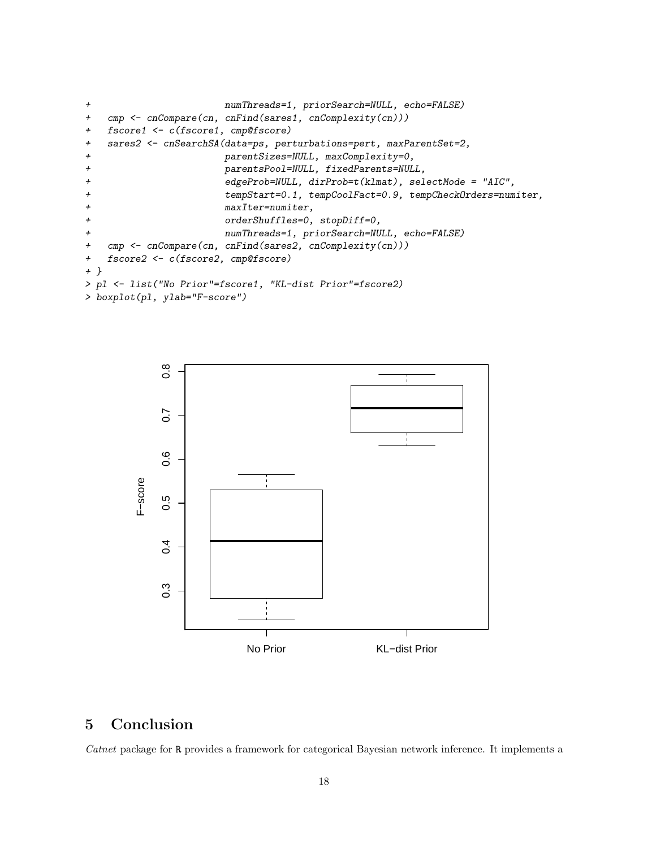```
+ numThreads=1, priorSearch=NULL, echo=FALSE)
+ cmp <- cnCompare(cn, cnFind(sares1, cnComplexity(cn)))
+ fscore1 <- c(fscore1, cmp@fscore)
+ sares2 <- cnSearchSA(data=ps, perturbations=pert, maxParentSet=2,
+ parentSizes=NULL, maxComplexity=0,
+ parentsPool=NULL, fixedParents=NULL,
+ edgeProb=NULL, dirProb=t(klmat), selectMode = "AIC",
+ tempStart=0.1, tempCoolFact=0.9, tempCheckOrders=numiter,
+ maxIter=numiter,
+ orderShuffles=0, stopDiff=0,
+ numThreads=1, priorSearch=NULL, echo=FALSE)
+ cmp <- cnCompare(cn, cnFind(sares2, cnComplexity(cn)))
+ fscore2 <- c(fscore2, cmp@fscore)
+ }
> pl <- list("No Prior"=fscore1, "KL-dist Prior"=fscore2)
> boxplot(pl, ylab="F-score")
```


# 5 Conclusion

Catnet package for R provides a framework for categorical Bayesian network inference. It implements a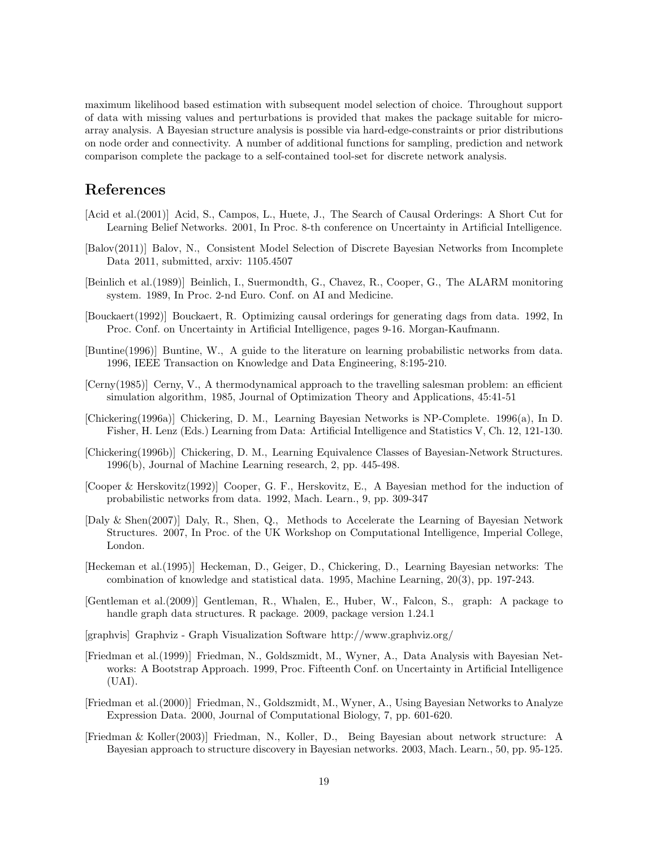maximum likelihood based estimation with subsequent model selection of choice. Throughout support of data with missing values and perturbations is provided that makes the package suitable for microarray analysis. A Bayesian structure analysis is possible via hard-edge-constraints or prior distributions on node order and connectivity. A number of additional functions for sampling, prediction and network comparison complete the package to a self-contained tool-set for discrete network analysis.

# References

- <span id="page-18-10"></span>[Acid et al.(2001)] Acid, S., Campos, L., Huete, J., The Search of Causal Orderings: A Short Cut for Learning Belief Networks. 2001, In Proc. 8-th conference on Uncertainty in Artificial Intelligence.
- <span id="page-18-6"></span>[Balov(2011)] Balov, N., Consistent Model Selection of Discrete Bayesian Networks from Incomplete Data 2011, submitted, arxiv: 1105.4507
- [Beinlich et al.(1989)] Beinlich, I., Suermondth, G., Chavez, R., Cooper, G., The ALARM monitoring system. 1989, In Proc. 2-nd Euro. Conf. on AI and Medicine.
- [Bouckaert(1992)] Bouckaert, R. Optimizing causal orderings for generating dags from data. 1992, In Proc. Conf. on Uncertainty in Artificial Intelligence, pages 9-16. Morgan-Kaufmann.
- [Buntine(1996)] Buntine, W., A guide to the literature on learning probabilistic networks from data. 1996, IEEE Transaction on Knowledge and Data Engineering, 8:195-210.
- <span id="page-18-11"></span>[Cerny(1985)] Cerny, V., A thermodynamical approach to the travelling salesman problem: an efficient simulation algorithm, 1985, Journal of Optimization Theory and Applications, 45:41-51
- <span id="page-18-12"></span>[Chickering(1996a)] Chickering, D. M., Learning Bayesian Networks is NP-Complete. 1996(a), In D. Fisher, H. Lenz (Eds.) Learning from Data: Artificial Intelligence and Statistics V, Ch. 12, 121-130.
- <span id="page-18-2"></span>[Chickering(1996b)] Chickering, D. M., Learning Equivalence Classes of Bayesian-Network Structures. 1996(b), Journal of Machine Learning research, 2, pp. 445-498.
- <span id="page-18-1"></span>[Cooper & Herskovitz(1992)] Cooper, G. F., Herskovitz, E., A Bayesian method for the induction of probabilistic networks from data. 1992, Mach. Learn., 9, pp. 309-347
- <span id="page-18-4"></span>[Daly & Shen(2007)] Daly, R., Shen, Q., Methods to Accelerate the Learning of Bayesian Network Structures. 2007, In Proc. of the UK Workshop on Computational Intelligence, Imperial College, London.
- <span id="page-18-0"></span>[Heckeman et al.(1995)] Heckeman, D., Geiger, D., Chickering, D., Learning Bayesian networks: The combination of knowledge and statistical data. 1995, Machine Learning, 20(3), pp. 197-243.
- <span id="page-18-8"></span>[Gentleman et al.(2009)] Gentleman, R., Whalen, E., Huber, W., Falcon, S., graph: A package to handle graph data structures. R package. 2009, package version 1.24.1
- <span id="page-18-9"></span>[graphvis] Graphviz - Graph Visualization Software http://www.graphviz.org/
- <span id="page-18-3"></span>[Friedman et al.(1999)] Friedman, N., Goldszmidt, M., Wyner, A., Data Analysis with Bayesian Networks: A Bootstrap Approach. 1999, Proc. Fifteenth Conf. on Uncertainty in Artificial Intelligence (UAI).
- <span id="page-18-7"></span>[Friedman et al.(2000)] Friedman, N., Goldszmidt, M., Wyner, A., Using Bayesian Networks to Analyze Expression Data. 2000, Journal of Computational Biology, 7, pp. 601-620.
- <span id="page-18-5"></span>[Friedman & Koller(2003)] Friedman, N., Koller, D., Being Bayesian about network structure: A Bayesian approach to structure discovery in Bayesian networks. 2003, Mach. Learn., 50, pp. 95-125.